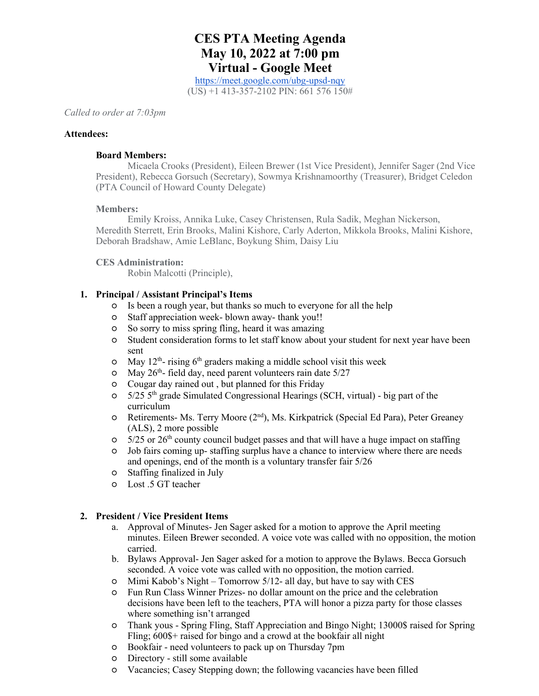# **CES PTA Meeting Agenda May 10, 2022 at 7:00 pm Virtual - Google Meet**

https://meet.google.com/ubg-upsd-nqy (US) +1 413-357-2102 PIN: 661 576 150#

*Called to order at 7:03pm*

#### **Attendees:**

#### **Board Members:**

Micaela Crooks (President), Eileen Brewer (1st Vice President), Jennifer Sager (2nd Vice President), Rebecca Gorsuch (Secretary), Sowmya Krishnamoorthy (Treasurer), Bridget Celedon (PTA Council of Howard County Delegate)

### **Members:**

Emily Kroiss, Annika Luke, Casey Christensen, Rula Sadik, Meghan Nickerson, Meredith Sterrett, Erin Brooks, Malini Kishore, Carly Aderton, Mikkola Brooks, Malini Kishore, Deborah Bradshaw, Amie LeBlanc, Boykung Shim, Daisy Liu

## **CES Administration:**

Robin Malcotti (Principle),

# **1. Principal / Assistant Principal's Items**

- Is been a rough year, but thanks so much to everyone for all the help
- Staff appreciation week- blown away- thank you!!
- So sorry to miss spring fling, heard it was amazing
- Student consideration forms to let staff know about your student for next year have been sent
- $\circ$  May 12<sup>th</sup>- rising 6<sup>th</sup> graders making a middle school visit this week
- $\degree$  May 26<sup>th</sup>- field day, need parent volunteers rain date 5/27
- Cougar day rained out , but planned for this Friday
- $\degree$  5/25 5<sup>th</sup> grade Simulated Congressional Hearings (SCH, virtual) big part of the curriculum
- Retirements- Ms. Terry Moore (2nd), Ms. Kirkpatrick (Special Ed Para), Peter Greaney (ALS), 2 more possible
- $\degree$  5/25 or 26<sup>th</sup> county council budget passes and that will have a huge impact on staffing
- Job fairs coming up- staffing surplus have a chance to interview where there are needs and openings, end of the month is a voluntary transfer fair 5/26
- Staffing finalized in July
- Lost .5 GT teacher

## **2. President / Vice President Items**

- a. Approval of Minutes- Jen Sager asked for a motion to approve the April meeting minutes. Eileen Brewer seconded. A voice vote was called with no opposition, the motion carried.
- b. Bylaws Approval- Jen Sager asked for a motion to approve the Bylaws. Becca Gorsuch seconded. A voice vote was called with no opposition, the motion carried.
- Mimi Kabob's Night Tomorrow 5/12- all day, but have to say with CES
- Fun Run Class Winner Prizes- no dollar amount on the price and the celebration decisions have been left to the teachers, PTA will honor a pizza party for those classes where something isn't arranged
- Thank yous Spring Fling, Staff Appreciation and Bingo Night; 13000\$ raised for Spring Fling; 600\$+ raised for bingo and a crowd at the bookfair all night
- Bookfair need volunteers to pack up on Thursday 7pm
- Directory still some available
- Vacancies; Casey Stepping down; the following vacancies have been filled